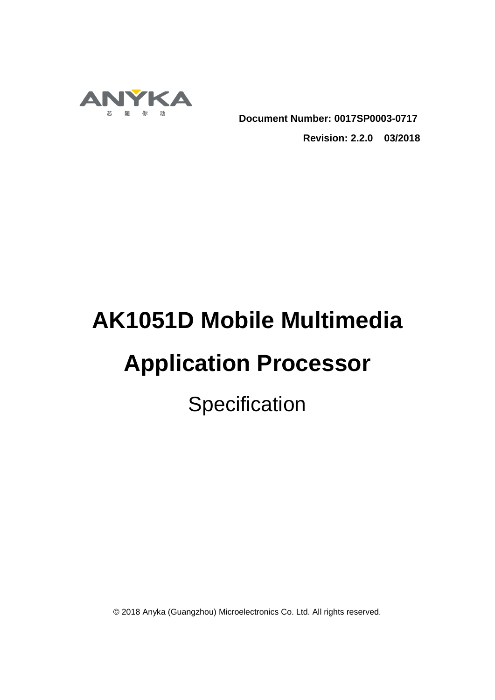

**Document Number: 0017SP0003-0717**

**Revision: 2.2.0 03/2018**

# **AK1051D Mobile Multimedia**

## **Application Processor**

**Specification** 

© 2018 Anyka (Guangzhou) Microelectronics Co. Ltd. All rights reserved.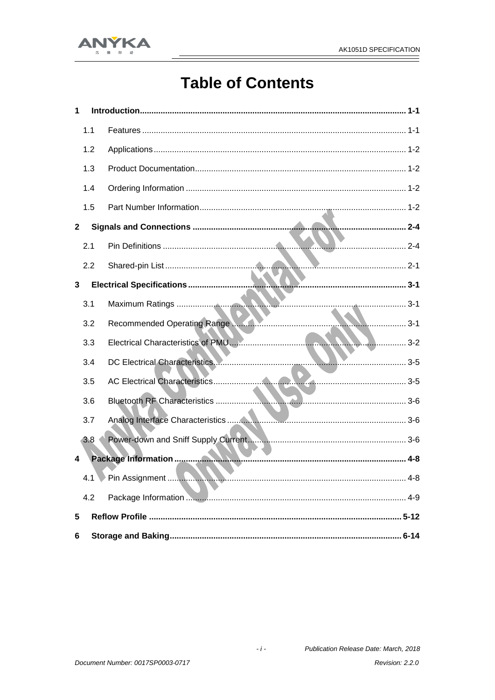

## **Table of Contents**

| 1            |     |  |
|--------------|-----|--|
|              | 1.1 |  |
|              | 1.2 |  |
|              | 1.3 |  |
|              | 1.4 |  |
|              | 1.5 |  |
| $\mathbf{2}$ |     |  |
|              | 2.1 |  |
|              | 2.2 |  |
| 3            |     |  |
|              | 3.1 |  |
|              | 3.2 |  |
|              | 3.3 |  |
|              | 3.4 |  |
|              | 3.5 |  |
|              | 3.6 |  |
|              | 3.7 |  |
|              | 3.8 |  |
| 4            |     |  |
|              |     |  |
|              | 4.2 |  |
| 5            |     |  |
| 6            |     |  |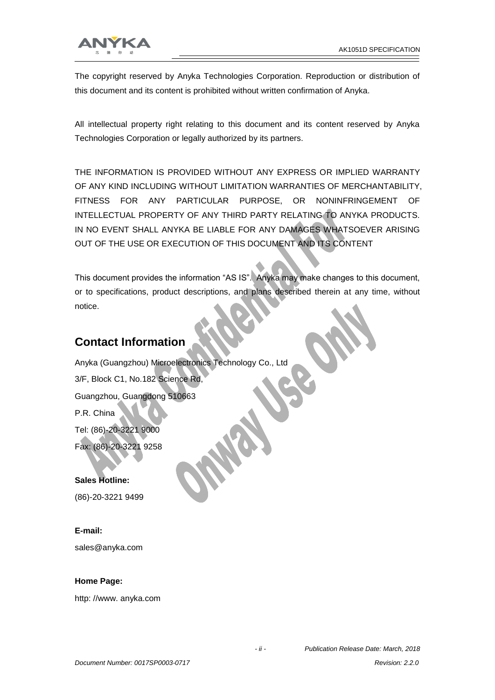

The copyright reserved by Anyka Technologies Corporation. Reproduction or distribution of this document and its content is prohibited without written confirmation of Anyka.

All intellectual property right relating to this document and its content reserved by Anyka Technologies Corporation or legally authorized by its partners.

THE INFORMATION IS PROVIDED WITHOUT ANY EXPRESS OR IMPLIED WARRANTY OF ANY KIND INCLUDING WITHOUT LIMITATION WARRANTIES OF MERCHANTABILITY, FITNESS FOR ANY PARTICULAR PURPOSE, OR NONINFRINGEMENT OF INTELLECTUAL PROPERTY OF ANY THIRD PARTY RELATING TO ANYKA PRODUCTS. IN NO EVENT SHALL ANYKA BE LIABLE FOR ANY DAMAGES WHATSOEVER ARISING OUT OF THE USE OR EXECUTION OF THIS DOCUMENT AND ITS CONTENT

This document provides the information "AS IS". Anyka may make changes to this document, or to specifications, product descriptions, and plans described therein at any time, without notice.

#### **Contact Information**

Anyka (Guangzhou) Microelectronics Technology Co., Ltd 3/F, Block C1, No.182 Science Rd, Guangzhou, Guangdong 510663 P.R. China Tel: (86)-20-3221 9000 Fax: (86)-20-3221 9258

**Sales Hotline:**  (86)-20-3221 9499

**E-mail:**

sales@anyka.com

#### **Home Page:**

http: //www. anyka.com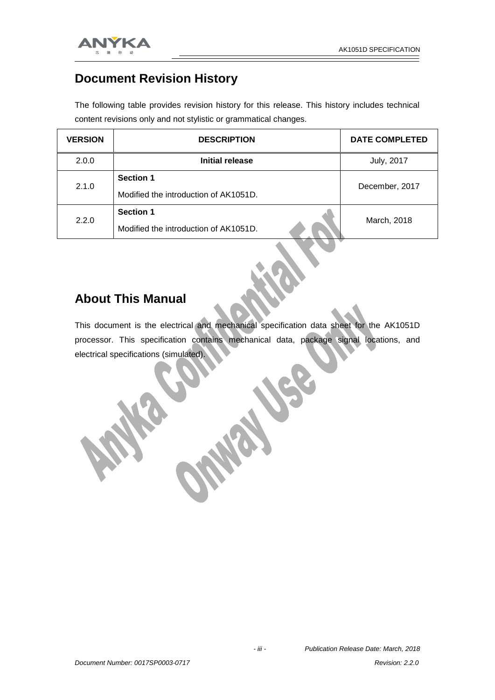

#### **Document Revision History**

The following table provides revision history for this release. This history includes technical content revisions only and not stylistic or grammatical changes.

| <b>VERSION</b> | <b>DESCRIPTION</b>                    | <b>DATE COMPLETED</b> |  |
|----------------|---------------------------------------|-----------------------|--|
| 2.0.0          | Initial release                       | <b>July, 2017</b>     |  |
| 2.1.0          | <b>Section 1</b>                      |                       |  |
|                | Modified the introduction of AK1051D. | December, 2017        |  |
| 2.2.0          | <b>Section 1</b>                      | March, 2018           |  |
|                | Modified the introduction of AK1051D. |                       |  |

#### **About This Manual**

This document is the electrical and mechanical specification data sheet for the AK1051D processor. This specification contains mechanical data, package signal locations, and electrical specifications (simulated).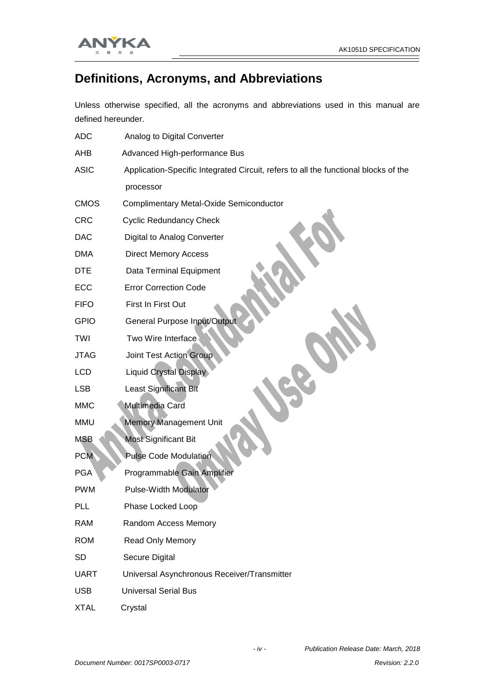$\equiv$ 



#### **Definitions, Acronyms, and Abbreviations**

Unless otherwise specified, all the acronyms and abbreviations used in this manual are defined hereunder.

| <b>ADC</b>  | Analog to Digital Converter                                                         |
|-------------|-------------------------------------------------------------------------------------|
| AHB         | Advanced High-performance Bus                                                       |
| <b>ASIC</b> | Application-Specific Integrated Circuit, refers to all the functional blocks of the |
|             | processor                                                                           |
| <b>CMOS</b> | <b>Complimentary Metal-Oxide Semiconductor</b>                                      |
| <b>CRC</b>  | <b>Cyclic Redundancy Check</b>                                                      |
| <b>DAC</b>  | Digital to Analog Converter                                                         |
| <b>DMA</b>  | <b>Direct Memory Access</b>                                                         |
| <b>DTE</b>  | Data Terminal Equipment                                                             |
| ECC         | <b>Error Correction Code</b>                                                        |
| <b>FIFO</b> | First In First Out                                                                  |
| <b>GPIO</b> | <b>General Purpose Input/Output</b>                                                 |
| TWI         | Two Wire Interface                                                                  |
| <b>JTAG</b> | <b>Joint Test Action Group</b>                                                      |
| LCD         | <b>Liquid Crystal Display</b>                                                       |
| LSB         | <b>Least Significant Bit</b>                                                        |
| <b>MMC</b>  | Multimedia Card                                                                     |
| <b>MMU</b>  | <b>Memory Management Unit</b>                                                       |
| <b>MSB</b>  | <b>Most Significant Bit</b>                                                         |
| <b>PCM</b>  | <b>Pulse Code Modulation</b>                                                        |
| <b>PGA</b>  | Programmable Gain Amplifier                                                         |
| <b>PWM</b>  | <b>Pulse-Width Modulator</b>                                                        |
| PLL         | Phase Locked Loop                                                                   |
| <b>RAM</b>  | Random Access Memory                                                                |
| <b>ROM</b>  | <b>Read Only Memory</b>                                                             |
| <b>SD</b>   | Secure Digital                                                                      |
| <b>UART</b> | Universal Asynchronous Receiver/Transmitter                                         |
| <b>USB</b>  | <b>Universal Serial Bus</b>                                                         |
| <b>XTAL</b> | Crystal                                                                             |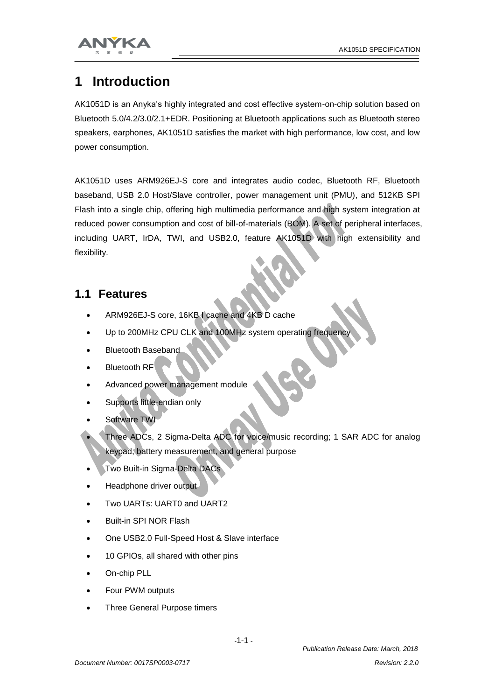



## **1 Introduction**

AK1051D is an Anyka's highly integrated and cost effective system-on-chip solution based on Bluetooth 5.0/4.2/3.0/2.1+EDR. Positioning at Bluetooth applications such as Bluetooth stereo speakers, earphones, AK1051D satisfies the market with high performance, low cost, and low power consumption.

AK1051D uses ARM926EJ-S core and integrates audio codec, Bluetooth RF, Bluetooth baseband, USB 2.0 Host/Slave controller, power management unit (PMU), and 512KB SPI Flash into a single chip, offering high multimedia performance and high system integration at reduced power consumption and cost of bill-of-materials (BOM). A set of peripheral interfaces, including UART, IrDA, TWI, and USB2.0, feature AK1051D with high extensibility and flexibility.

#### **1.1 Features**

- ARM926EJ-S core, 16KB I cache and 4KB D cache
- Up to 200MHz CPU CLK and 100MHz system operating frequency
- Bluetooth Baseband
- $\bullet$  Bluetooth RF
- Advanced power management module
- Supports little-endian only
- Software TWI
- Three ADCs, 2 Sigma-Delta ADC for voice/music recording; 1 SAR ADC for analog keypad, battery measurement, and general purpose
- Two Built-in Sigma-Delta DACs
- Headphone driver output
- Two UARTs: UART0 and UART2
- Built-in SPI NOR Flash
- One USB2.0 Full-Speed Host & Slave interface
- 10 GPIOs, all shared with other pins
- On-chip PLL
- Four PWM outputs
- Three General Purpose timers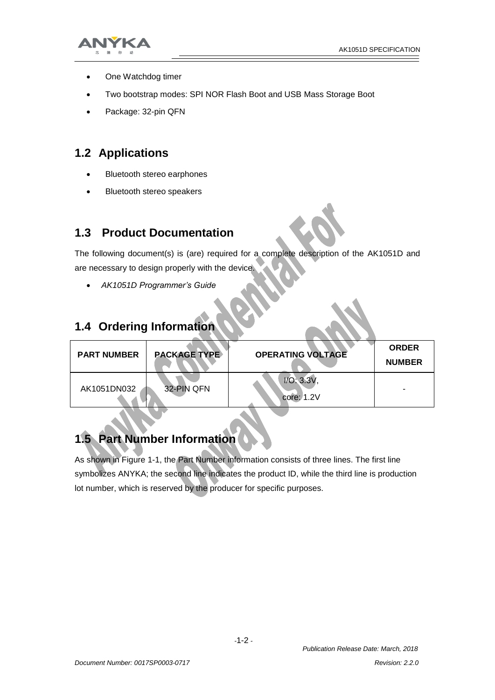

- One Watchdog timer
- Two bootstrap modes: SPI NOR Flash Boot and USB Mass Storage Boot
- Package: 32-pin QFN

#### **1.2 Applications**

- Bluetooth stereo earphones
- Bluetooth stereo speakers

#### **1.3 Product Documentation**

The following document(s) is (are) required for a complete description of the AK1051D and are necessary to design properly with the device.

*AK1051D Programmer's Guide*

#### **1.4 Ordering Information**

| <b>PART NUMBER</b> | <b>PACKAGE TYPE</b> | <b>OPERATING VOLTAGE</b> | <b>ORDER</b><br><b>NUMBER</b> |
|--------------------|---------------------|--------------------------|-------------------------------|
| AK1051DN032        | 32-PIN QFN          | I/O: 3.3V<br>core: 1.2V  | $\overline{\phantom{a}}$      |

### **1.5 Part Number Information**

As shown in Figure 1-1, the Part Number information consists of three lines. The first line symbolizes ANYKA; the second line indicates the product ID, while the third line is production lot number, which is reserved by the producer for specific purposes.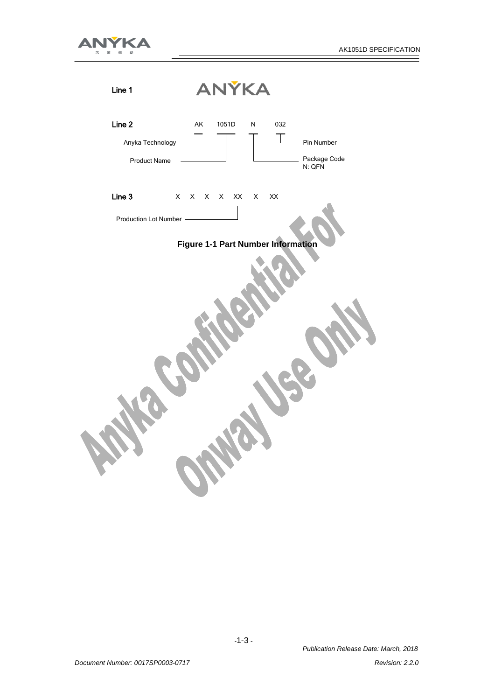$\equiv$ 



| Line 1                                            | ANÝKA                                                           |
|---------------------------------------------------|-----------------------------------------------------------------|
| Line 2<br>Anyka Technology<br><b>Product Name</b> | AK<br>1051D<br>032<br>N<br>Pin Number<br>Package Code<br>N: QFN |
| Line 3                                            | $X$ $X$ $X$<br>XX<br>$\mathsf{X}\mathsf{X}$<br>X<br>$\mathsf X$ |
| Production Lot Number -                           |                                                                 |
|                                                   | Figure 1-1 Part Number Information                              |
|                                                   |                                                                 |
|                                                   |                                                                 |
|                                                   |                                                                 |
|                                                   |                                                                 |
|                                                   |                                                                 |
|                                                   |                                                                 |
|                                                   |                                                                 |
|                                                   |                                                                 |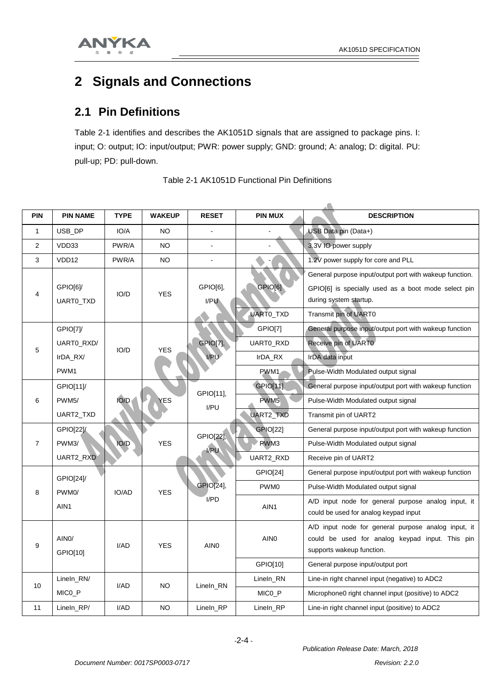

## **2 Signals and Connections**

#### **2.1 Pin Definitions**

Table 2-1 identifies and describes the AK1051D signals that are assigned to package pins. I: input; O: output; IO: input/output; PWR: power supply; GND: ground; A: analog; D: digital. PU: pull-up; PD: pull-down.

| <b>PIN</b>     | <b>PIN NAME</b>                | <b>TYPE</b> | <b>WAKEUP</b> | <b>RESET</b>      | <b>PIN MUX</b>                                         | <b>DESCRIPTION</b>                                                                                                                                                |
|----------------|--------------------------------|-------------|---------------|-------------------|--------------------------------------------------------|-------------------------------------------------------------------------------------------------------------------------------------------------------------------|
| $\mathbf{1}$   | USB DP                         | IO/A        | <b>NO</b>     |                   |                                                        | USB Data pin (Data+)                                                                                                                                              |
| 2              | VDD33                          | PWR/A       | <b>NO</b>     | $\overline{a}$    |                                                        | 3.3V IO power supply                                                                                                                                              |
| 3              | VDD <sub>12</sub>              | PWR/A       | <b>NO</b>     |                   |                                                        | 1.2V power supply for core and PLL                                                                                                                                |
| 4              | GPIO[6]/<br>UARTO TXD          | IO/D        | <b>YES</b>    | GPIO[6],<br>I/PU  | GPIO[6]<br>UARTO_TXD                                   | General purpose input/output port with wakeup function.<br>GPIO[6] is specially used as a boot mode select pin<br>during system startup.<br>Transmit pin of UART0 |
|                | GPIO[7]/                       |             |               |                   | GPIO[7]                                                | General purpose input/output port with wakeup function                                                                                                            |
|                | UARTO_RXD/                     |             |               | <b>GPIO[7],</b>   | UARTO_RXD                                              | Receive pin of UART0                                                                                                                                              |
| 5              | IrDA_RX/                       | IO/D        | <b>YES</b>    | I/PU              | IrDA_RX                                                | IrDA data input                                                                                                                                                   |
|                | PWM1                           |             |               |                   | PWM <sub>1</sub>                                       | Pulse-Width Modulated output signal                                                                                                                               |
|                | GPIO[11]                       | IO/D        |               | GPIO[11],<br>I/PU | GPIO[11]                                               | General purpose input/output port with wakeup function                                                                                                            |
| 6              | PWM <sub>5</sub> /             |             | YES           |                   | PWM <sub>5</sub>                                       | Pulse-Width Modulated output signal                                                                                                                               |
|                | UART2_TXD                      |             |               |                   | UART2_TXD                                              | Transmit pin of UART2                                                                                                                                             |
|                | GPIO[22]/                      | IO/D        | <b>YES</b>    | GPIO[22],<br>I/PU | <b>GPIO[22]</b>                                        | General purpose input/output port with wakeup function                                                                                                            |
| $\overline{7}$ | PWM3/                          |             |               |                   | PWM3                                                   | Pulse-Width Modulated output signal                                                                                                                               |
|                | UART2_RXD                      |             |               |                   | UART2_RXD                                              | Receive pin of UART2                                                                                                                                              |
|                | GPIO[24]/                      | IO/AD       |               | GPIO[24]          | General purpose input/output port with wakeup function |                                                                                                                                                                   |
| 8              | PWM <sub>0</sub> /             |             | <b>YES</b>    | GPIO[24],<br>I/PD | PWM <sub>0</sub>                                       | Pulse-Width Modulated output signal                                                                                                                               |
|                | AIN1                           |             |               |                   | AIN1                                                   | A/D input node for general purpose analog input, it<br>could be used for analog keypad input                                                                      |
| 9              | AIN <sub>0</sub> /<br>GPIO[10] | I/AD        | <b>YES</b>    | AIN <sub>0</sub>  | AIN <sub>0</sub>                                       | A/D input node for general purpose analog input, it<br>could be used for analog keypad input. This pin<br>supports wakeup function.                               |
|                |                                |             |               |                   | GPIO[10]                                               | General purpose input/output port                                                                                                                                 |
| 10             | Lineln_RN/                     | I/AD        | <b>NO</b>     | Lineln_RN         | Lineln_RN                                              | Line-in right channel input (negative) to ADC2                                                                                                                    |
|                | MICO_P                         |             |               |                   | MICO_P                                                 | Microphone0 right channel input (positive) to ADC2                                                                                                                |
| 11             | Lineln_RP/                     | I/AD        | <b>NO</b>     | Lineln_RP         | Lineln_RP                                              | Line-in right channel input (positive) to ADC2                                                                                                                    |

|  | Table 2-1 AK1051D Functional Pin Definitions |  |
|--|----------------------------------------------|--|
|  |                                              |  |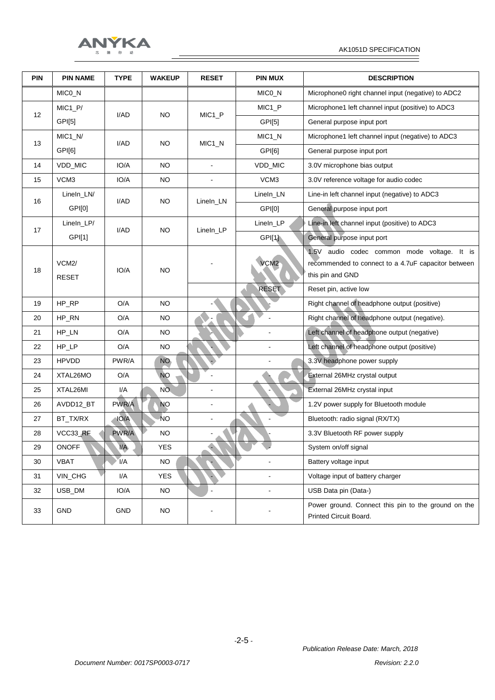

| <b>PIN</b> | <b>PIN NAME</b>       | <b>TYPE</b>             | <b>WAKEUP</b>   | <b>RESET</b>       | <b>PIN MUX</b>       | <b>DESCRIPTION</b>                                                            |                                                                                                                        |
|------------|-----------------------|-------------------------|-----------------|--------------------|----------------------|-------------------------------------------------------------------------------|------------------------------------------------------------------------------------------------------------------------|
|            | MICO_N                |                         |                 |                    | MICO_N               | Microphone0 right channel input (negative) to ADC2                            |                                                                                                                        |
|            | $MIC1_P/$             |                         |                 |                    | MIC <sub>1_P</sub>   | Microphone1 left channel input (positive) to ADC3                             |                                                                                                                        |
| 12         | GPI[5]                | I/AD                    | <b>NO</b>       | MIC <sub>1_P</sub> | GPI[5]               | General purpose input port                                                    |                                                                                                                        |
|            | $MIC1_N/$             |                         |                 |                    | $MIC1_N$             | Microphone1 left channel input (negative) to ADC3                             |                                                                                                                        |
| 13         | GPI[6]                | I/AD                    | NO.             | MIC <sub>1</sub> N | GPI[6]               | General purpose input port                                                    |                                                                                                                        |
| 14         | VDD_MIC               | IO/A                    | <b>NO</b>       | $\blacksquare$     | VDD_MIC              | 3.0V microphone bias output                                                   |                                                                                                                        |
| 15         | VCM3                  | IO/A                    | <b>NO</b>       | $\blacksquare$     | VCM3                 | 3.0V reference voltage for audio codec                                        |                                                                                                                        |
|            | LineIn_LN/            |                         |                 |                    | LineIn_LN            | Line-in left channel input (negative) to ADC3                                 |                                                                                                                        |
| 16         | GPI[0]                | I/AD                    | <b>NO</b>       | LineIn_LN          | GPI[0]               | General purpose input port                                                    |                                                                                                                        |
|            | LineIn_LP/            | I/AD                    | <b>NO</b>       |                    | LineIn_LP            | Line-in left channel input (positive) to ADC3                                 |                                                                                                                        |
| 17         | GPI[1]                |                         |                 | LineIn_LP          | GPI[1]               | General purpose input port                                                    |                                                                                                                        |
| 18         | VCM2/<br><b>RESET</b> | IO/A                    |                 | <b>NO</b>          |                      | VCM <sub>2</sub>                                                              | 1.5V audio codec common mode voltage. It is<br>recommended to connect to a 4.7uF capacitor between<br>this pin and GND |
|            |                       |                         |                 |                    | <b>RESET</b>         | Reset pin, active low                                                         |                                                                                                                        |
| 19         | HP_RP                 | O/A                     | <b>NO</b>       |                    |                      | Right channel of headphone output (positive)                                  |                                                                                                                        |
| 20         | HP_RN                 | O/A                     | <b>NO</b>       |                    |                      | Right channel of headphone output (negative).                                 |                                                                                                                        |
| 21         | HP_LN                 | O/A                     | <b>NO</b>       |                    | $\blacksquare$       | Left channel of headphone output (negative)                                   |                                                                                                                        |
| 22         | HP_LP                 | O/A                     | <b>NO</b>       |                    |                      | Left channel of headphone output (positive)                                   |                                                                                                                        |
| 23         | <b>HPVDD</b>          | PWR/A                   | NO <sub>1</sub> |                    |                      | 3.3V headphone power supply                                                   |                                                                                                                        |
| 24         | XTAL26MO              | O/A                     | <b>NO</b>       |                    |                      | External 26MHz crystal output                                                 |                                                                                                                        |
| 25         | XTAL26MI              | I/A                     | NO.             |                    |                      | External 26MHz crystal input                                                  |                                                                                                                        |
| 26         | AVDD12_BT             | PWR/A                   | <b>NO</b>       | $\blacksquare$     |                      | 1.2V power supply for Bluetooth module                                        |                                                                                                                        |
| 27         | BT_TX/RX              | IO/A                    | <b>NO</b>       |                    |                      | Bluetooth: radio signal (RX/TX)                                               |                                                                                                                        |
| 28         | VCC33_RF              | PWR/A                   | <b>NO</b>       |                    |                      | 3.3V Bluetooth RF power supply                                                |                                                                                                                        |
| 29         | <b>ONOFF</b>          | $\mathsf{I}/\mathsf{A}$ | <b>YES</b>      |                    |                      | System on/off signal                                                          |                                                                                                                        |
| 30         | <b>VBAT</b>           | I/A                     | <b>NO</b>       |                    |                      | Battery voltage input                                                         |                                                                                                                        |
| 31         | VIN_CHG               | I/A                     | <b>YES</b>      |                    |                      | Voltage input of battery charger                                              |                                                                                                                        |
| 32         | USB_DM                | IO/A                    | NO              |                    | $\ddot{\phantom{a}}$ | USB Data pin (Data-)                                                          |                                                                                                                        |
| 33         | GND                   | <b>GND</b>              | NO              |                    |                      | Power ground. Connect this pin to the ground on the<br>Printed Circuit Board. |                                                                                                                        |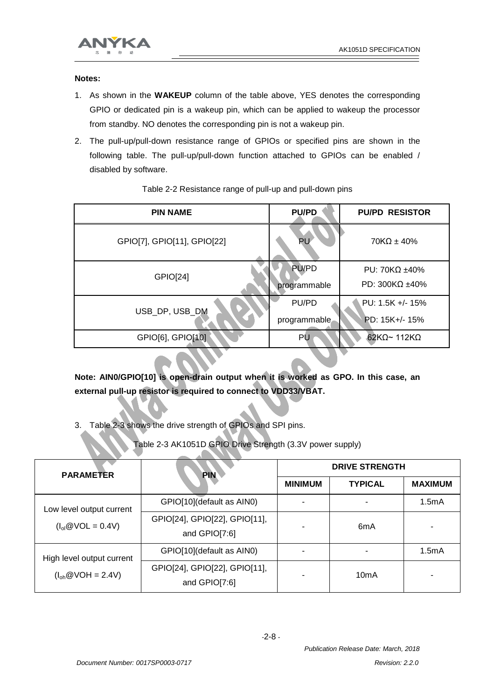

**Notes:**

- 1. As shown in the **WAKEUP** column of the table above, YES denotes the corresponding GPIO or dedicated pin is a wakeup pin, which can be applied to wakeup the processor from standby. NO denotes the corresponding pin is not a wakeup pin.
- 2. The pull-up/pull-down resistance range of GPIOs or specified pins are shown in the following table. The pull-up/pull-down function attached to GPIOs can be enabled / disabled by software.

| <b>PU/PD</b> | <b>PU/PD RESISTOR</b>                     |
|--------------|-------------------------------------------|
| <b>PU</b>    | $70K\Omega \pm 40\%$                      |
| PU/PD        | PU: 70K $\Omega$ ±40%<br>PD: 300KΩ $±40%$ |
|              | PU: 1.5K +/- 15%                          |
| programmable | PD: 15K+/- 15%                            |
| PU           | $62K\Omega$ ~ 112K $\Omega$               |
|              | programmable<br>PU/PD                     |

#### Table 2-2 Resistance range of pull-up and pull-down pins

**Note: AIN0/GPIO[10] is open-drain output when it is worked as GPO. In this case, an external pull-up resistor is required to connect to VDD33/VBAT.**

3. Table 2-3 shows the drive strength of GPIOs and SPI pins.

Table 2-3 AK1051D GPIO Drive Strength (3.3V power supply)

| <b>PARAMETER</b>          | <b>PIN</b>                                     | <b>DRIVE STRENGTH</b> |                   |                |  |
|---------------------------|------------------------------------------------|-----------------------|-------------------|----------------|--|
|                           |                                                | <b>MINIMUM</b>        | <b>TYPICAL</b>    | <b>MAXIMUM</b> |  |
| Low level output current  | GPIO[10](default as AIN0)                      |                       |                   | 1.5mA          |  |
| $(Iol@VOL = 0.4V)$        | GPIO[24], GPIO[22], GPIO[11],<br>and GPIO[7:6] |                       | 6 <sub>m</sub> A  |                |  |
| High level output current | GPIO[10](default as AIN0)                      |                       |                   | 1.5mA          |  |
| $(I_{oh} @ VOH = 2.4V)$   | GPIO[24], GPIO[22], GPIO[11],<br>and GPIO[7:6] |                       | 10 <sub>m</sub> A |                |  |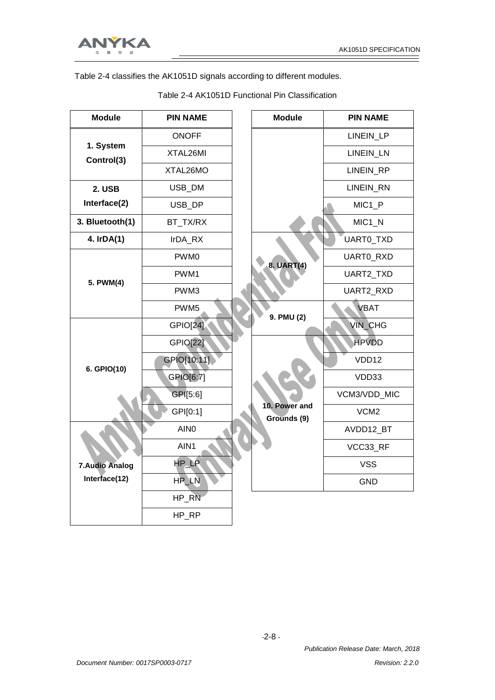Ξ



Table 2-4 classifies the AK1051D signals according to different modules.

| <b>Module</b>           | <b>PIN NAME</b>  | <b>Module</b>                | <b>PIN NAME</b>    |
|-------------------------|------------------|------------------------------|--------------------|
|                         | <b>ONOFF</b>     |                              | LINEIN_LP          |
| 1. System<br>Control(3) | XTAL26MI         |                              | LINEIN_LN          |
|                         | XTAL26MO         |                              | <b>LINEIN RP</b>   |
| 2. USB                  | USB_DM           |                              | LINEIN_RN          |
| Interface(2)            | USB_DP           |                              | MIC <sub>1_P</sub> |
| 3. Bluetooth(1)         | BT_TX/RX         |                              | $MIC1_N$           |
| 4. IrDA(1)              | IrDA_RX          |                              | UARTO_TXD          |
|                         | PWM0             | 8. UART(4)                   | UARTO_RXD          |
| 5. PWM(4)               | PWM1             |                              | UART2_TXD          |
|                         | PWM3             |                              | UART2_RXD          |
|                         | PWM <sub>5</sub> | 9. PMU (2)                   | <b>VBAT</b>        |
|                         | <b>GPIO[24]</b>  |                              | <b>VIN_CHG</b>     |
|                         | <b>GPIO[22]</b>  |                              | <b>HPVDD</b>       |
| 6. GPIO(10)             | GPIO[10:11]      |                              | VDD12              |
|                         | GPIO[6:7]        |                              | VDD33              |
|                         | GPI[5:6]         |                              | VCM3/VDD_MIC       |
|                         | GPI[0:1]         | 10. Power and<br>Grounds (9) | VCM <sub>2</sub>   |
|                         | AIN <sub>0</sub> |                              | AVDD12_BT          |
|                         | AIN1             |                              | VCC33_RF           |
| <b>7.Audio Analog</b>   | HP_LP            |                              | <b>VSS</b>         |
| Interface(12)           | HP_LN            |                              | <b>GND</b>         |
|                         | HP_RN            |                              |                    |
|                         | HP_RP            |                              |                    |

Table 2-4 AK1051D Functional Pin Classification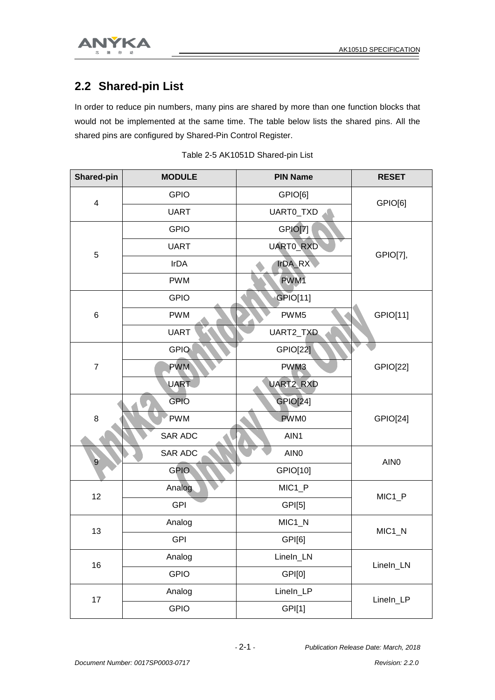

#### **2.2 Shared-pin List**

In order to reduce pin numbers, many pins are shared by more than one function blocks that would not be implemented at the same time. The table below lists the shared pins. All the shared pins are configured by Shared-Pin Control Register.

| <b>Shared-pin</b>       | <b>MODULE</b> | <b>PIN Name</b>    | <b>RESET</b>       |
|-------------------------|---------------|--------------------|--------------------|
| $\overline{\mathbf{4}}$ | <b>GPIO</b>   | GPIO[6]            | GPIO[6]            |
|                         | <b>UART</b>   | UARTO_TXD          |                    |
|                         | <b>GPIO</b>   | GPIO[7]            |                    |
| 5                       | <b>UART</b>   | UARTO_RXD          | GPIO[7],           |
|                         | <b>IrDA</b>   | <b>IrDA_RX</b>     |                    |
|                         | <b>PWM</b>    | PWM1               |                    |
|                         | <b>GPIO</b>   | GPIO[11]           |                    |
| 6                       | <b>PWM</b>    | PWM <sub>5</sub>   | GPIO[11]           |
|                         | <b>UART</b>   | UART2_TXD          |                    |
|                         | <b>GPIO</b>   | <b>GPIO[22]</b>    |                    |
| $\boldsymbol{7}$        | <b>PWM</b>    | PWM3               | GPIO[22]           |
|                         | <b>UART</b>   | UART2_RXD          |                    |
|                         | <b>GPIO</b>   | <b>GPIO[24]</b>    |                    |
| 8                       | PWM           | PWM0               | <b>GPIO[24]</b>    |
|                         | SAR ADC       | AIN1               |                    |
| $\overline{9}$          | SAR ADC       | AIN <sub>0</sub>   | AIN <sub>0</sub>   |
|                         | <b>GPIO</b>   | GPIO[10]           |                    |
| 12                      | Analog        | MIC <sub>1_P</sub> | MIC <sub>1_P</sub> |
|                         | <b>GPI</b>    | GPI[5]             |                    |
| 13                      | Analog        | MIC <sub>1_N</sub> | MIC <sub>1_N</sub> |
|                         | <b>GPI</b>    | GPI[6]             |                    |
| 16                      | Analog        | LineIn_LN          | LineIn_LN          |
|                         | <b>GPIO</b>   | GPI[0]             |                    |
| 17                      | Analog        | LineIn_LP          | LineIn_LP          |
|                         | <b>GPIO</b>   | GPI[1]             |                    |

|  | Table 2-5 AK1051D Shared-pin List |  |
|--|-----------------------------------|--|
|  |                                   |  |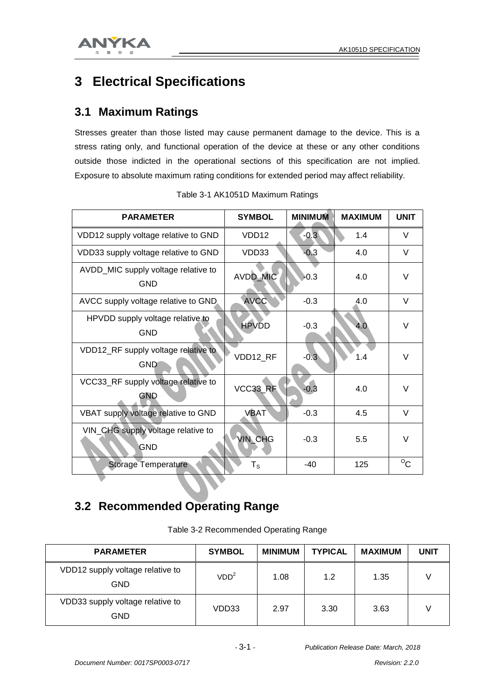

### **3 Electrical Specifications**

#### **3.1 Maximum Ratings**

Stresses greater than those listed may cause permanent damage to the device. This is a stress rating only, and functional operation of the device at these or any other conditions outside those indicted in the operational sections of this specification are not implied. Exposure to absolute maximum rating conditions for extended period may affect reliability.

| <b>PARAMETER</b>                                  | <b>SYMBOL</b>     | <b>MINIMUM</b> | <b>MAXIMUM</b> | <b>UNIT</b>  |
|---------------------------------------------------|-------------------|----------------|----------------|--------------|
| VDD12 supply voltage relative to GND              | VDD <sub>12</sub> | $-0.3$         | 1.4            | $\vee$       |
| VDD33 supply voltage relative to GND              | VDD33             | $-0.3$         | 4.0            | $\vee$       |
| AVDD_MIC supply voltage relative to<br><b>GND</b> | AVDD_MIC          | $-0.3$         | 4.0            | $\vee$       |
| AVCC supply voltage relative to GND.              | <b>AVCC</b>       | $-0.3$         | 4.0            | V            |
| HPVDD supply voltage relative to<br><b>GND</b>    | <b>HPVDD</b>      | $-0.3$         | 4.0            | $\vee$       |
| VDD12_RF supply voltage relative to<br><b>GND</b> | VDD12_RF          | $-0.3$         | 1.4            | $\vee$       |
| VCC33_RF supply voltage relative to<br>GND        | VCC33_RF          | $-0.3$         | 4.0            | $\vee$       |
| VBAT supply voltage relative to GND               | <b>VBAT</b>       | $-0.3$         | 4.5            | $\vee$       |
| VIN_CHG supply voltage relative to<br><b>GND</b>  | <b>VIN_CHG</b>    | $-0.3$         | 5.5            | $\vee$       |
| <b>Storage Temperature</b>                        | $T_{\tt S}$       | $-40$          | 125            | $^{\circ}$ C |

Table 3-1 AK1051D Maximum Ratings

#### **3.2 Recommended Operating Range**

Table 3-2 Recommended Operating Range

| <b>PARAMETER</b>                        | <b>SYMBOL</b>    | <b>MINIMUM</b> | <b>TYPICAL</b> | <b>MAXIMUM</b> | <b>UNIT</b> |
|-----------------------------------------|------------------|----------------|----------------|----------------|-------------|
| VDD12 supply voltage relative to<br>GND | VDD <sup>2</sup> | 1.08           | 1.2            | 1.35           |             |
| VDD33 supply voltage relative to<br>GND | VDD33            | 2.97           | 3.30           | 3.63           |             |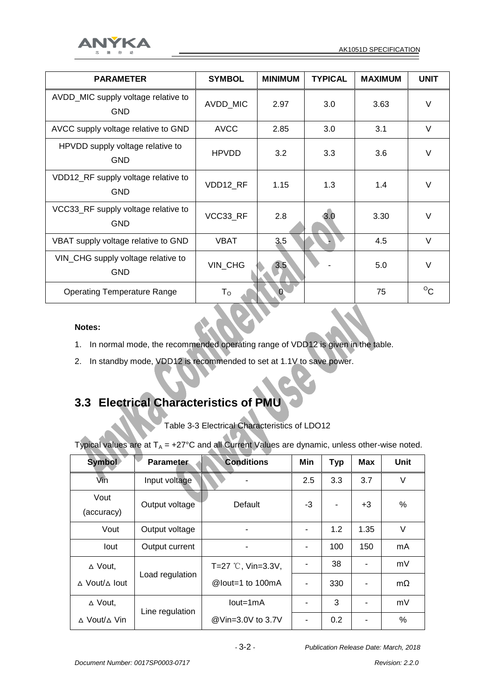

| <b>PARAMETER</b>                                  | <b>SYMBOL</b> | <b>MINIMUM</b> | <b>TYPICAL</b> | <b>MAXIMUM</b> | <b>UNIT</b>  |
|---------------------------------------------------|---------------|----------------|----------------|----------------|--------------|
| AVDD_MIC supply voltage relative to<br><b>GND</b> | AVDD_MIC      | 2.97           | 3.0            | 3.63           | $\vee$       |
| AVCC supply voltage relative to GND               | <b>AVCC</b>   | 2.85           | 3.0            | 3.1            | $\vee$       |
| HPVDD supply voltage relative to<br><b>GND</b>    | <b>HPVDD</b>  | 3.2            | 3.3            | 3.6            | $\vee$       |
| VDD12_RF supply voltage relative to<br><b>GND</b> | VDD12_RF      | 1.15           | 1.3            | 1.4            | $\vee$       |
| VCC33_RF supply voltage relative to<br><b>GND</b> | VCC33 RF      | 2.8            | 3.0            | 3.30           | $\vee$       |
| VBAT supply voltage relative to GND               | <b>VBAT</b>   | 3.5            |                | 4.5            | $\vee$       |
| VIN_CHG supply voltage relative to<br><b>GND</b>  | VIN_CHG       | 3.5            |                | 5.0            | $\vee$       |
| <b>Operating Temperature Range</b>                | $T_{\rm O}$   |                |                | 75             | $^{\circ}$ c |

#### **Notes:**

- 1. In normal mode, the recommended operating range of VDD12 is given in the table.
- 2. In standby mode, VDD12 is recommended to set at 1.1V to save power.

#### **3.3 Electrical Characteristics of PMU**

Table 3-3 Electrical Characteristics of LDO12

Typical values are at  $T_A$  = +27°C and all Current Values are dynamic, unless other-wise noted.

| <b>Symbol</b>                     | <b>Parameter</b> | <b>Conditions</b>           | Min | <b>Typ</b> | <b>Max</b>     | Unit      |
|-----------------------------------|------------------|-----------------------------|-----|------------|----------------|-----------|
| Vin                               | Input voltage    |                             | 2.5 | 3.3        | 3.7            | $\vee$    |
| Vout<br>(accuracy)                | Output voltage   | Default                     | -3  |            | $+3$           | %         |
| Vout                              | Output voltage   | ۰                           |     | 1.2        | 1.35           | V         |
| lout                              | Output current   |                             |     | 100        | 150            | mA        |
| ∆ Vout,                           |                  | T=27 $\degree$ C, Vin=3.3V, |     | 38         | $\blacksquare$ | mV        |
| ∆ Vout/∆ lout                     | Load regulation  | @lout=1 to 100mA            |     | 330        | $\blacksquare$ | $m\Omega$ |
| $\triangle$ Vout,                 | Line regulation  | $Iout=1mA$                  |     | 3          | $\blacksquare$ | mV        |
| $\triangle$ Vout/ $\triangle$ Vin |                  | @Vin=3.0V to 3.7V           |     | 0.2        |                | %         |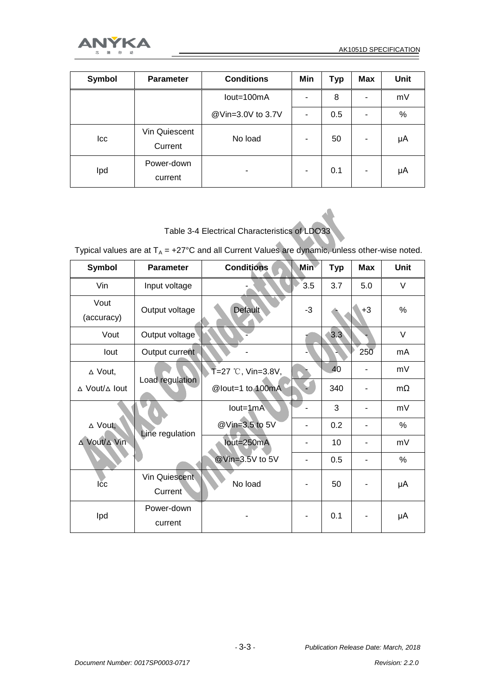

| Symbol | <b>Parameter</b>         | <b>Conditions</b> | Min | Typ | <b>Max</b> | Unit |
|--------|--------------------------|-------------------|-----|-----|------------|------|
|        |                          | lout=100mA        |     | 8   | ٠          | mV   |
|        |                          | @Vin=3.0V to 3.7V |     | 0.5 | ۰          | $\%$ |
| Icc    | Vin Quiescent<br>Current | No load           |     | 50  | ۰          | μA   |
| Ipd    | Power-down<br>current    |                   |     | 0.1 | ۰          | μA   |

Table 3-4 Electrical Characteristics of LDO33

Typical values are at  $T_A = +27^{\circ}$ C and all Current Values are dynamic, unless other-wise noted.

| Symbol                             | <b>Parameter</b>         | <b>Conditions</b>              | <b>Min</b> | <b>Typ</b> | <b>Max</b> | Unit      |
|------------------------------------|--------------------------|--------------------------------|------------|------------|------------|-----------|
| Vin                                | Input voltage            |                                | 3.5        | 3.7        | 5.0        | V         |
| Vout<br>(accuracy)                 | Output voltage           | <b>Default</b>                 | $-3$       |            | $+3$       | %         |
| Vout                               | Output voltage           |                                |            | 3.3        |            | V         |
| lout                               | Output current           |                                |            |            | 250        | mA        |
| ∆ Vout,                            |                          | $\mathsf{T} = 27$ ℃, Vin=3.8V, |            | 40         |            | mV        |
| $\triangle$ Vout/ $\triangle$ lout | Load regulation          | @lout=1 to 100mA               |            | 340        |            | $m\Omega$ |
|                                    |                          | $Iout=1mA$                     |            | 3          |            | mV        |
| $\triangle$ Vout,                  | Line regulation          | @Vin=3.5 to 5V                 |            | 0.2        |            | %         |
| ∆ Vout/∆ Vin                       |                          | lout=250mA                     |            | 10         |            | mV        |
|                                    |                          | @Vin=3.5V to 5V                |            | 0.5        |            | %         |
| Ičc                                | Vin Quiescent<br>Current | No load                        |            | 50         |            | μA        |
| Ipd                                | Power-down<br>current    |                                |            | 0.1        |            | μA        |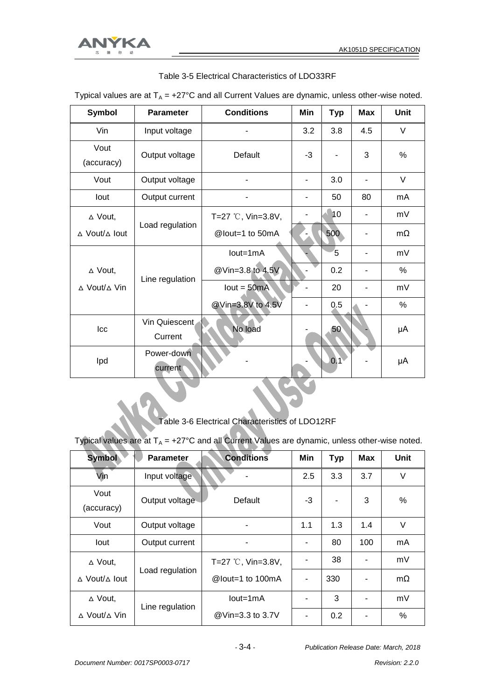

| Typical values are at T <sub>A</sub> = +27°C and all Current values are dynamic, unless other-wise noted |                          |                       |     |            |            |             |  |  |
|----------------------------------------------------------------------------------------------------------|--------------------------|-----------------------|-----|------------|------------|-------------|--|--|
| <b>Symbol</b>                                                                                            | <b>Parameter</b>         | <b>Conditions</b>     | Min | <b>Typ</b> | <b>Max</b> | <b>Unit</b> |  |  |
| Vin                                                                                                      | Input voltage            |                       | 3.2 | 3.8        | 4.5        | V           |  |  |
| Vout<br>(accuracy)                                                                                       | Output voltage           | Default               | -3  |            | 3          | %           |  |  |
| Vout                                                                                                     | Output voltage           |                       |     | 3.0        |            | V           |  |  |
| lout                                                                                                     | Output current           |                       |     | 50         | 80         | mA          |  |  |
| $\triangle$ Vout,                                                                                        |                          | T=27 $°C$ , Vin=3.8V, |     | 10         |            | mV          |  |  |
| ∆ Vout/∆ lout                                                                                            | Load regulation          | @lout=1 to 50mA       |     | 500        |            | $m\Omega$   |  |  |
|                                                                                                          |                          | $Iout=1mA$            |     | 5          |            | mV          |  |  |
| $\triangle$ Vout,                                                                                        | Line regulation          | @Vin=3.8 to 4.5V      |     | 0.2        |            | $\%$        |  |  |
| $\triangle$ Vout/ $\triangle$ Vin                                                                        |                          | $lout = 50mA$         |     | 20         |            | mV          |  |  |
|                                                                                                          |                          | @Vin=3.8V to 4.5V     |     | 0.5        |            | $\%$        |  |  |
| Icc                                                                                                      | Vin Quiescent<br>Current | No load               |     | 50         |            | μA          |  |  |
| Ipd                                                                                                      | Power-down<br>current    |                       |     | 0.1        |            | μA          |  |  |

Table 3-5 Electrical Characteristics of LDO33RF

Typical values are at  $T_A$  = +27°C and all Current Values are dynamic, unless other-wise noted.

Table 3-6 Electrical Characteristics of LDO12RF

Typical values are at  $T_A$  = +27°C and all Current Values are dynamic, unless other-wise noted.

| <b>Symbol</b>                      | <b>Parameter</b> | <b>Conditions</b>           | Min                      | <b>Typ</b> | Max            | <b>Unit</b> |
|------------------------------------|------------------|-----------------------------|--------------------------|------------|----------------|-------------|
| Vin                                | Input voltage    |                             | 2.5                      | 3.3        | 3.7            | $\vee$      |
| Vout<br>(accuracy)                 | Output voltage   | Default                     | -3                       |            | 3              | $\%$        |
| Vout                               | Output voltage   | ۰                           | 1.1                      | 1.3        | 1.4            | V           |
| lout                               | Output current   |                             |                          | 80         | 100            | mA          |
| $\triangle$ Vout,                  |                  | T=27 $\degree$ C, Vin=3.8V, |                          | 38         |                | mV          |
| $\triangle$ Vout/ $\triangle$ lout | Load regulation  | @lout=1 to 100mA            | $\overline{\phantom{a}}$ | 330        | $\blacksquare$ | $m\Omega$   |
| $\triangle$ Vout,                  | Line regulation  | $Iout=1mA$                  |                          | 3          | $\blacksquare$ | mV          |
| ∆ Vout/∆ Vin                       |                  | @Vin=3.3 to 3.7V            |                          | 0.2        | $\blacksquare$ | $\%$        |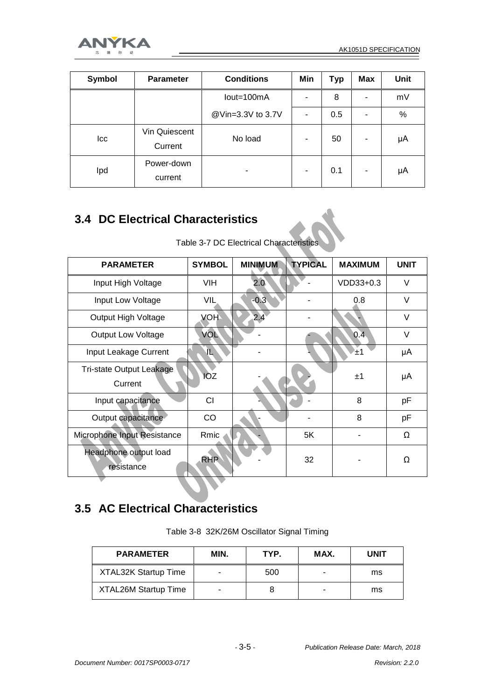

| Symbol | <b>Parameter</b>         | <b>Conditions</b> | Min | Typ | <b>Max</b> | Unit |
|--------|--------------------------|-------------------|-----|-----|------------|------|
|        |                          | lout=100mA        |     | 8   | ۰          | mV   |
|        |                          | @Vin=3.3V to 3.7V |     | 0.5 | ٠          | $\%$ |
| Icc    | Vin Quiescent<br>Current | No load           |     | 50  | ٠          | μA   |
| Ipd    | Power-down<br>current    | -                 |     | 0.1 | ۰          | μA   |

#### **3.4 DC Electrical Characteristics**

| Table 3-7 DC Electrical Characteristics |  |
|-----------------------------------------|--|
|-----------------------------------------|--|

| <b>PARAMETER</b>                           | <b>SYMBOL</b> | <b>MINIMUM</b> | <b>TYPICAL</b> | <b>MAXIMUM</b> | <b>UNIT</b> |
|--------------------------------------------|---------------|----------------|----------------|----------------|-------------|
| Input High Voltage                         | <b>VIH</b>    | 2.0            |                | VDD33+0.3      | $\vee$      |
| Input Low Voltage                          | VIL           | $-0.3$         |                | 0.8            | $\vee$      |
| Output High Voltage                        | <b>VOH</b>    | 2.4            |                |                | $\vee$      |
| <b>Output Low Voltage</b>                  | VOL           |                |                | 0.4            | $\vee$      |
| Input Leakage Current                      | 甩             |                |                | '±1            | μA          |
| <b>Tri-state Output Leakage</b><br>Current | <b>IOZ</b>    |                |                | ±1             | μA          |
| Input capacitance                          | CI            |                |                | 8              | рF          |
| Output capacitance                         | CO            |                |                | 8              | рF          |
| Microphone Input Resistance                | Rmic          |                | 5K             |                | $\Omega$    |
| Headphone output load<br>resistance        | <b>RHP</b>    |                | 32             |                | Ω           |

#### **3.5 AC Electrical Characteristics**

Table 3-8 32K/26M Oscillator Signal Timing

| <b>PARAMETER</b>            | MIN. | TYP. | MAX. | UNIT |
|-----------------------------|------|------|------|------|
| <b>XTAL32K Startup Time</b> |      | 500  | -    | ms   |
| <b>XTAL26M Startup Time</b> |      |      | -    | ms   |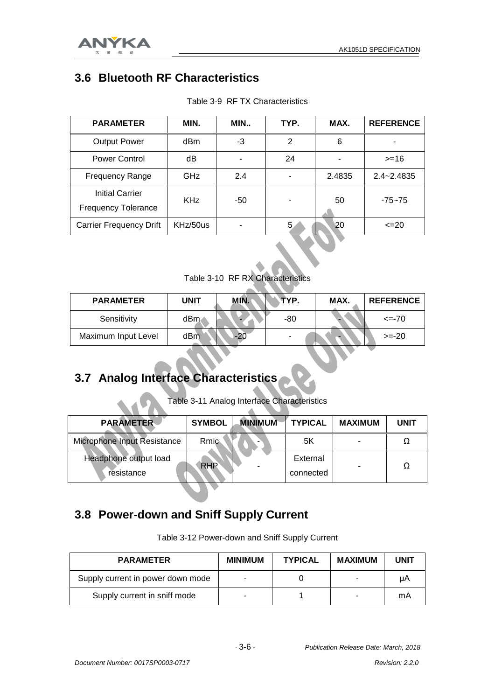

#### **3.6 Bluetooth RF Characteristics**

| <b>PARAMETER</b>                                     | MIN.       | MIN | TYP.           | MAX.   | <b>REFERENCE</b> |
|------------------------------------------------------|------------|-----|----------------|--------|------------------|
| <b>Output Power</b>                                  | dBm        | -3  | 2              | 6      |                  |
| Power Control                                        | dB         |     | 24             |        | $>=16$           |
| <b>Frequency Range</b>                               | GHz        | 2.4 | $\blacksquare$ | 2.4835 | $2.4 - 2.4835$   |
| <b>Initial Carrier</b><br><b>Frequency Tolerance</b> | <b>KHz</b> | -50 | ۰              | 50     | $-75 - 75$       |
| <b>Carrier Frequency Drift</b>                       | KHz/50us   |     | 5              | 20     | $\leq$ 20        |

Table 3-9 RF TX Characteristics

Table 3-10 RF RX Characteristics

| <b>PARAMETER</b>    | <b>UNIT</b> | MIN. | TYP. | MAX. | <b>REFERENCE</b> |
|---------------------|-------------|------|------|------|------------------|
| Sensitivity         | dBm∞        |      | -80  |      | $\le$ = -70      |
| Maximum Input Level | dBm         |      | -    |      | $>= -20$         |

#### **3.7 Analog Interface Characteristics**

Table 3-11 Analog Interface Characteristics

| <b>PARAMETER</b>                    | <b>SYMBOL</b> | <b>MINIMUM</b> | <b>TYPICAL</b>        | <b>MAXIMUM</b> | <b>UNIT</b> |
|-------------------------------------|---------------|----------------|-----------------------|----------------|-------------|
| <b>Microphone Input Resistance</b>  | <b>Rmic</b>   |                | 5Κ                    |                |             |
| Headphone output load<br>resistance | <b>RHP</b>    |                | External<br>connected | -              | Ω           |

#### **3.8 Power-down and Sniff Supply Current**

Table 3-12 Power-down and Sniff Supply Current

| <b>PARAMETER</b>                  | <b>MINIMUM</b> | <b>TYPICAL</b> | <b>MAXIMUM</b> | UNIT |
|-----------------------------------|----------------|----------------|----------------|------|
| Supply current in power down mode |                |                | -              | uA   |
| Supply current in sniff mode      |                |                | ۰              | mA   |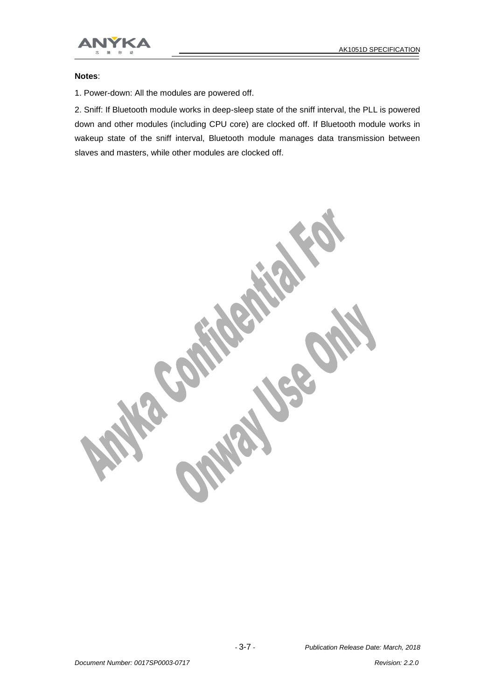



#### **Notes**:

1. Power-down: All the modules are powered off.

2. Sniff: If Bluetooth module works in deep-sleep state of the sniff interval, the PLL is powered down and other modules (including CPU core) are clocked off. If Bluetooth module works in wakeup state of the sniff interval, Bluetooth module manages data transmission between slaves and masters, while other modules are clocked off.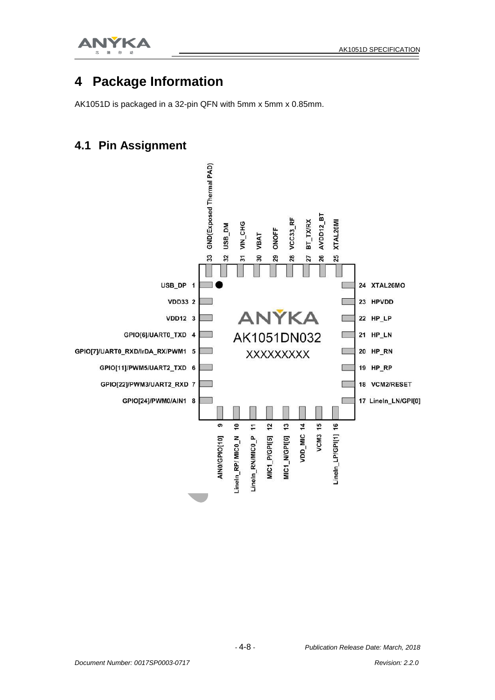

#### **4 Package Information**

AK1051D is packaged in a 32-pin QFN with 5mm x 5mm x 0.85mm.

#### **4.1 Pin Assignment**

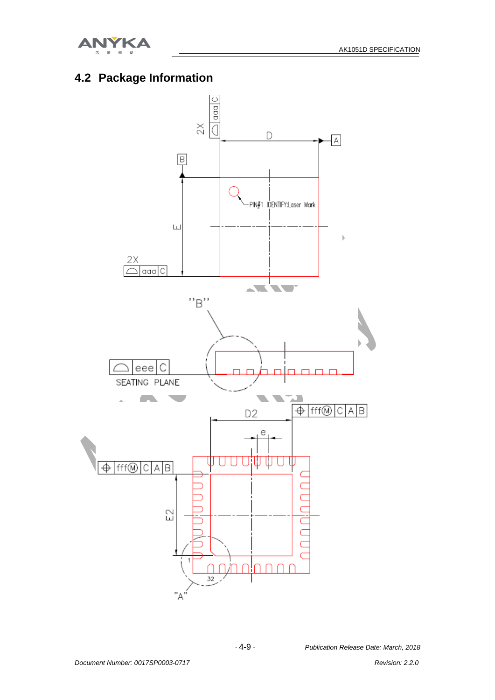

#### **4.2 Package Information**

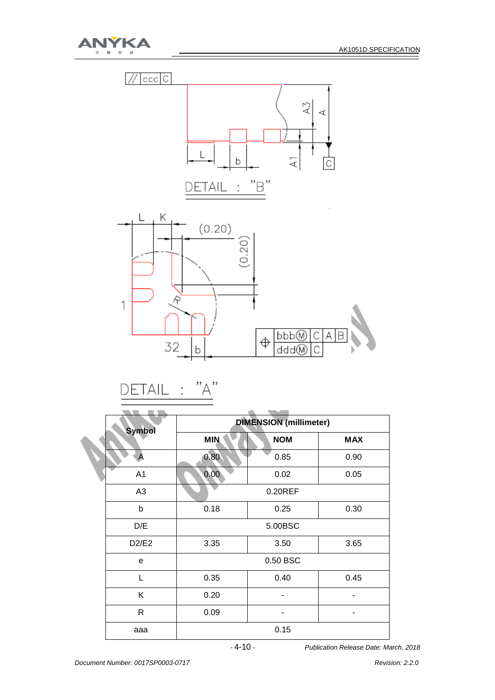





$$
\underline{\mathsf{DETAIL}} \; : \; "A"
$$

| <b>Symbol</b>  |            | <b>DIMENSION</b> (millimeter) |            |  |  |
|----------------|------------|-------------------------------|------------|--|--|
|                | <b>MIN</b> | <b>NOM</b>                    | <b>MAX</b> |  |  |
|                | 0.80       | 0.85                          | 0.90       |  |  |
| A1             | 0.00       | 0.02                          | 0.05       |  |  |
| A <sub>3</sub> |            | $0.20$ REF                    |            |  |  |
| b              | 0.18       | 0.25                          | 0.30       |  |  |
| D/E            |            | 5.00BSC                       |            |  |  |
| D2/E2          | 3.35       | 3.50                          | 3.65       |  |  |
| e              |            | 0.50 BSC                      |            |  |  |
| $\mathbf{L}$   | 0.35       | 0.40                          | 0.45       |  |  |
| K              | 0.20       |                               |            |  |  |
| R              | 0.09       |                               |            |  |  |
| aaa            |            | 0.15                          |            |  |  |

 *-* 4-10 *- Publication Release Date: March, 2018*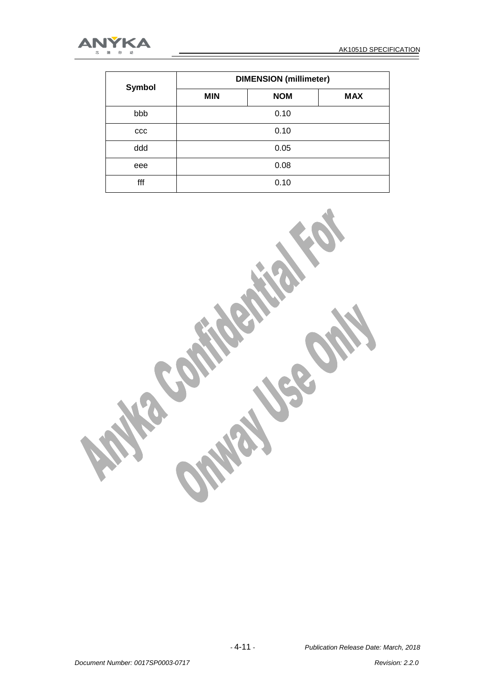

| <b>Symbol</b> | <b>DIMENSION</b> (millimeter) |            |            |  |  |
|---------------|-------------------------------|------------|------------|--|--|
|               | <b>MIN</b>                    | <b>NOM</b> | <b>MAX</b> |  |  |
| bbb           | 0.10                          |            |            |  |  |
| ccc           | 0.10                          |            |            |  |  |
| ddd           | 0.05                          |            |            |  |  |
| eee           | 0.08                          |            |            |  |  |
| fff           |                               | 0.10       |            |  |  |

**RECEIVED**  $\frac{1}{2}$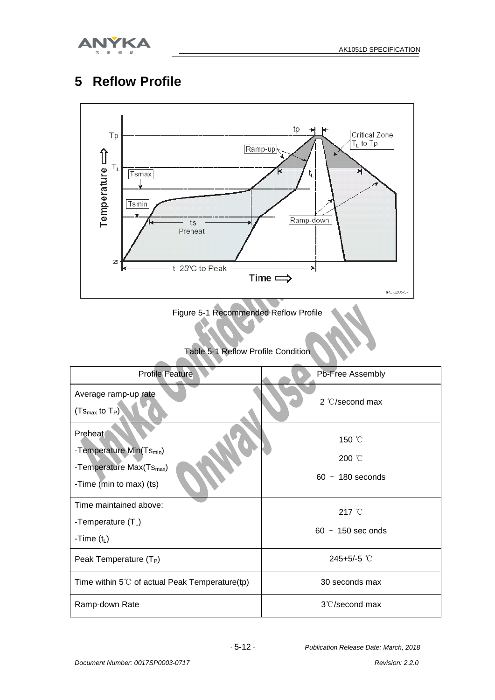

### **5 Reflow Profile**



Figure 5-1 Recommended Reflow Profile

Table 5-1 Reflow Profile Condition

| <b>Profile Feature</b>                                                                                             | Pb-Free Assembly                       |
|--------------------------------------------------------------------------------------------------------------------|----------------------------------------|
| Average ramp-up rate<br>$(Ts_{max}$ to $T_P)$                                                                      | $2 \text{ }^{\circ}$ C/second max      |
| Preheat<br>-Temperature Min(Ts <sub>min</sub> )<br>-Temperature Max(Ts <sub>max</sub> )<br>-Time (min to max) (ts) | 150 °C<br>200 °C<br>$60 - 180$ seconds |
| Time maintained above:<br>-Temperature $(T_L)$<br>-Time $(t_L)$                                                    | 217 °C<br>$60 - 150$ sec onds          |
| Peak Temperature $(T_P)$                                                                                           | 245+5/-5 $°C$                          |
| Time within $5^{\circ}$ of actual Peak Temperature(tp)                                                             | 30 seconds max                         |
| Ramp-down Rate                                                                                                     | $3^{\circ}$ C/second max               |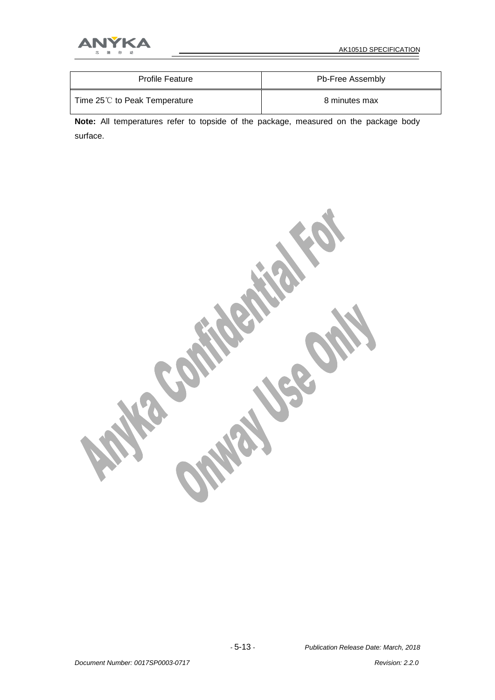

| <b>Profile Feature</b>                | Pb-Free Assembly |
|---------------------------------------|------------------|
| Time $25^{\circ}$ to Peak Temperature | 8 minutes max    |

**Note:** All temperatures refer to topside of the package, measured on the package body surface.